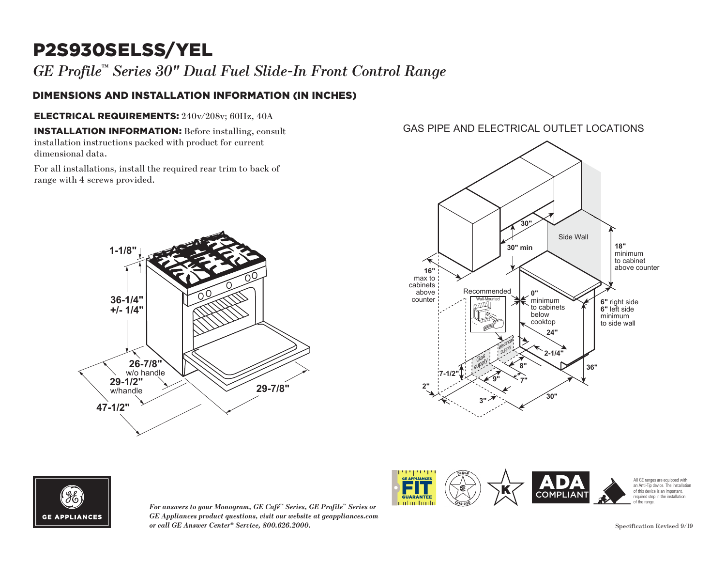## P2S930SELSS/YEL

### DIMENSIONS AND INSTALLATION INFORMATION (IN INCHES)

### ELECTRICAL REQUIREMENTS: 240v/208v; 60Hz, 40A **18"** minimum

*GE Profile™ Series 30" Dual Fuel Slide-In Front Control Range*<br> **DIMENSIONS AND INSTALLATION INFORMATION (IN INCHES)**<br> **ELECTRICAL REQUIREMENTS:** 240v/208v; 60Hz, 40A<br> **INSTALLATION INFORMATION:** Before installing, cons **INSTALLATION INFORMATION:** Before installing, consult installation instructions packed with product for current dimensional data.

For all installations, install the required rear trim to back of range with 4 screws provided.

# **36-1/4" +/- 1/4" 29-7/8" 26-7/8"** w/o handle **29-1/2"** w/handle **47-1/2" 1-1/8"**





*For answers to your Monogram, GE Café™ Series, GE Profile™ Series or GE Appliances product questions, visit our website at geappliances.com or call GE Answer Center® Service, 800.626.2000.* 



GAS PIPE AND ELECTRICAL OUTLET LOCATIONS